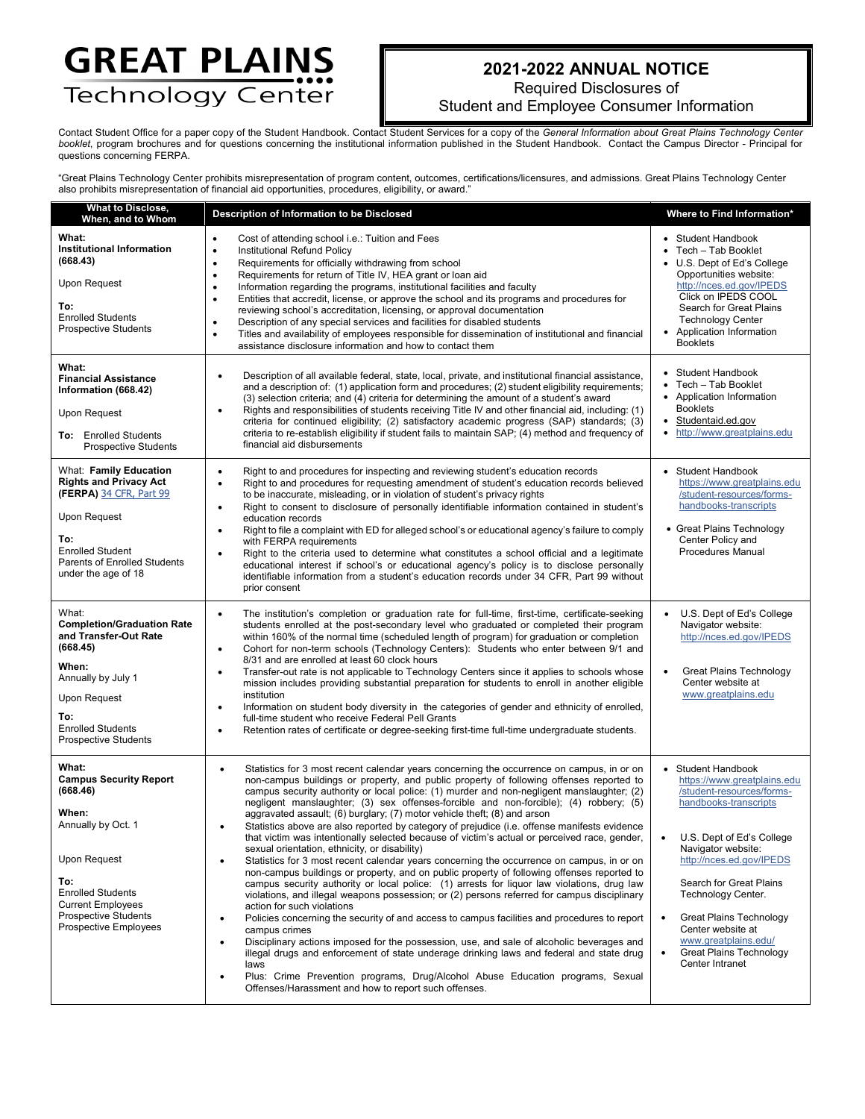## **GREAT PLAINS** Technology Center

## **2021-2022 ANNUAL NOTICE**

Required Disclosures of

Student and Employee Consumer Information

Contact Student Office for a paper copy of the Student Handbook. Contact Student Services for a copy of the *General Information about Great Plains Technology Center booklet*, program brochures and for questions concerning the institutional information published in the Student Handbook. Contact the Campus Director - Principal for questions concerning FERPA.

"Great Plains Technology Center prohibits misrepresentation of program content, outcomes, certifications/licensures, and admissions. Great Plains Technology Center also prohibits misrepresentation of financial aid opportunities, procedures, eligibility, or award."

| <b>What to Disclose,</b><br>When, and to Whom                                                                                                                                                                     | Description of Information to be Disclosed                                                                                                                                                                                                                                                                                                                                                                                                                                                                                                                                                                                                                                                                                                                                                                                                                                                                                                                                                                                                                                                                                                                                                                                                                                                                                                                                                                                                                                                                                                                                                                                                                      | Where to Find Information*                                                                                                                                                                                                                                                                                                                                                                           |
|-------------------------------------------------------------------------------------------------------------------------------------------------------------------------------------------------------------------|-----------------------------------------------------------------------------------------------------------------------------------------------------------------------------------------------------------------------------------------------------------------------------------------------------------------------------------------------------------------------------------------------------------------------------------------------------------------------------------------------------------------------------------------------------------------------------------------------------------------------------------------------------------------------------------------------------------------------------------------------------------------------------------------------------------------------------------------------------------------------------------------------------------------------------------------------------------------------------------------------------------------------------------------------------------------------------------------------------------------------------------------------------------------------------------------------------------------------------------------------------------------------------------------------------------------------------------------------------------------------------------------------------------------------------------------------------------------------------------------------------------------------------------------------------------------------------------------------------------------------------------------------------------------|------------------------------------------------------------------------------------------------------------------------------------------------------------------------------------------------------------------------------------------------------------------------------------------------------------------------------------------------------------------------------------------------------|
| What:<br><b>Institutional Information</b><br>(668.43)<br>Upon Request<br>To:<br><b>Enrolled Students</b><br><b>Prospective Students</b>                                                                           | Cost of attending school i.e.: Tuition and Fees<br>٠<br>Institutional Refund Policy<br>$\bullet$<br>Requirements for officially withdrawing from school<br>$\bullet$<br>Requirements for return of Title IV, HEA grant or loan aid<br>$\bullet$<br>Information regarding the programs, institutional facilities and faculty<br>$\bullet$<br>Entities that accredit, license, or approve the school and its programs and procedures for<br>$\bullet$<br>reviewing school's accreditation, licensing, or approval documentation<br>Description of any special services and facilities for disabled students<br>٠<br>Titles and availability of employees responsible for dissemination of institutional and financial<br>$\bullet$<br>assistance disclosure information and how to contact them                                                                                                                                                                                                                                                                                                                                                                                                                                                                                                                                                                                                                                                                                                                                                                                                                                                                   | • Student Handbook<br>Tech - Tab Booklet<br>• U.S. Dept of Ed's College<br>Opportunities website:<br>http://nces.ed.gov/IPEDS<br>Click on IPEDS COOL<br>Search for Great Plains<br><b>Technology Center</b><br>• Application Information<br><b>Booklets</b>                                                                                                                                          |
| What:<br><b>Financial Assistance</b><br>Information (668.42)<br>Upon Request<br>To: Enrolled Students<br><b>Prospective Students</b>                                                                              | Description of all available federal, state, local, private, and institutional financial assistance,<br>$\bullet$<br>and a description of: (1) application form and procedures; (2) student eligibility requirements;<br>(3) selection criteria; and (4) criteria for determining the amount of a student's award<br>Rights and responsibilities of students receiving Title IV and other financial aid, including: (1)<br>$\bullet$<br>criteria for continued eligibility; (2) satisfactory academic progress (SAP) standards; (3)<br>criteria to re-establish eligibility if student fails to maintain SAP; (4) method and frequency of<br>financial aid disbursements                                                                                                                                                                                                                                                                                                                                                                                                                                                                                                                                                                                                                                                                                                                                                                                                                                                                                                                                                                                        | • Student Handbook<br>Tech - Tab Booklet<br>• Application Information<br><b>Booklets</b><br>Studentaid.ed.gov<br>$\bullet$<br>• http://www.greatplains.edu                                                                                                                                                                                                                                           |
| What: Family Education<br><b>Rights and Privacy Act</b><br>(FERPA) 34 CFR, Part 99<br>Upon Request<br>To:<br><b>Enrolled Student</b><br><b>Parents of Enrolled Students</b><br>under the age of 18                | Right to and procedures for inspecting and reviewing student's education records<br>$\bullet$<br>Right to and procedures for requesting amendment of student's education records believed<br>$\bullet$<br>to be inaccurate, misleading, or in violation of student's privacy rights<br>Right to consent to disclosure of personally identifiable information contained in student's<br>$\bullet$<br>education records<br>Right to file a complaint with ED for alleged school's or educational agency's failure to comply<br>$\bullet$<br>with FERPA requirements<br>Right to the criteria used to determine what constitutes a school official and a legitimate<br>$\bullet$<br>educational interest if school's or educational agency's policy is to disclose personally<br>identifiable information from a student's education records under 34 CFR, Part 99 without<br>prior consent                                                                                                                                                                                                                                                                                                                                                                                                                                                                                                                                                                                                                                                                                                                                                                        | <b>Student Handbook</b><br>https://www.greatplains.edu<br>/student-resources/forms-<br>handbooks-transcripts<br>• Great Plains Technology<br>Center Policy and<br>Procedures Manual                                                                                                                                                                                                                  |
| What:<br><b>Completion/Graduation Rate</b><br>and Transfer-Out Rate<br>(668.45)<br>When:<br>Annually by July 1<br>Upon Request<br>To:<br><b>Enrolled Students</b><br><b>Prospective Students</b>                  | The institution's completion or graduation rate for full-time, first-time, certificate-seeking<br>$\bullet$<br>students enrolled at the post-secondary level who graduated or completed their program<br>within 160% of the normal time (scheduled length of program) for graduation or completion<br>Cohort for non-term schools (Technology Centers): Students who enter between 9/1 and<br>$\bullet$<br>8/31 and are enrolled at least 60 clock hours<br>Transfer-out rate is not applicable to Technology Centers since it applies to schools whose<br>$\bullet$<br>mission includes providing substantial preparation for students to enroll in another eligible<br>institution<br>Information on student body diversity in the categories of gender and ethnicity of enrolled,<br>$\bullet$<br>full-time student who receive Federal Pell Grants<br>Retention rates of certificate or degree-seeking first-time full-time undergraduate students.<br>$\bullet$                                                                                                                                                                                                                                                                                                                                                                                                                                                                                                                                                                                                                                                                                            | U.S. Dept of Ed's College<br>Navigator website:<br>http://nces.ed.gov/IPEDS<br>Great Plains Technology<br>Center website at<br>www.greatplains.edu                                                                                                                                                                                                                                                   |
| What:<br><b>Campus Security Report</b><br>(668.46)<br>When:<br>Annually by Oct. 1<br>Upon Request<br>To:<br><b>Enrolled Students</b><br><b>Current Employees</b><br>Prospective Students<br>Prospective Employees | Statistics for 3 most recent calendar years concerning the occurrence on campus, in or on<br>$\bullet$<br>non-campus buildings or property, and public property of following offenses reported to<br>campus security authority or local police: (1) murder and non-negligent manslaughter; (2)<br>negligent manslaughter; (3) sex offenses-forcible and non-forcible); (4) robbery; (5)<br>aggravated assault; (6) burglary; (7) motor vehicle theft; (8) and arson<br>Statistics above are also reported by category of prejudice (i.e. offense manifests evidence<br>٠<br>that victim was intentionally selected because of victim's actual or perceived race, gender,<br>sexual orientation, ethnicity, or disability)<br>Statistics for 3 most recent calendar years concerning the occurrence on campus, in or on<br>$\bullet$<br>non-campus buildings or property, and on public property of following offenses reported to<br>campus security authority or local police: (1) arrests for liquor law violations, drug law<br>violations, and illegal weapons possession; or (2) persons referred for campus disciplinary<br>action for such violations<br>Policies concerning the security of and access to campus facilities and procedures to report<br>$\bullet$<br>campus crimes<br>Disciplinary actions imposed for the possession, use, and sale of alcoholic beverages and<br>$\bullet$<br>illegal drugs and enforcement of state underage drinking laws and federal and state drug<br>laws<br>Plus: Crime Prevention programs, Drug/Alcohol Abuse Education programs, Sexual<br>$\bullet$<br>Offenses/Harassment and how to report such offenses. | • Student Handbook<br>https://www.greatplains.edu<br>/student-resources/forms-<br>handbooks-transcripts<br>U.S. Dept of Ed's College<br>$\bullet$<br>Navigator website:<br>http://nces.ed.gov/IPEDS<br>Search for Great Plains<br>Technology Center.<br>Great Plains Technology<br>$\bullet$<br>Center website at<br>www.greatplains.edu/<br>Great Plains Technology<br>$\bullet$<br>Center Intranet |